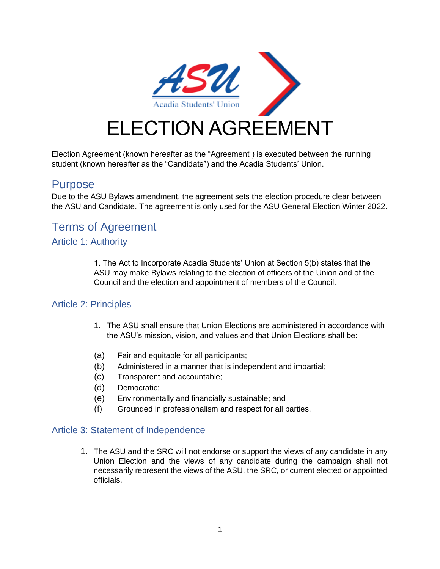

Election Agreement (known hereafter as the "Agreement") is executed between the running student (known hereafter as the "Candidate") and the Acadia Students' Union.

# Purpose

Due to the ASU Bylaws amendment, the agreement sets the election procedure clear between the ASU and Candidate. The agreement is only used for the ASU General Election Winter 2022.

# Terms of Agreement

#### Article 1: Authority

1. The Act to Incorporate Acadia Students' Union at Section 5(b) states that the ASU may make Bylaws relating to the election of officers of the Union and of the Council and the election and appointment of members of the Council.

## Article 2: Principles

- 1. The ASU shall ensure that Union Elections are administered in accordance with the ASU's mission, vision, and values and that Union Elections shall be:
- (a) Fair and equitable for all participants;
- (b) Administered in a manner that is independent and impartial;
- (c) Transparent and accountable;
- (d) Democratic;
- (e) Environmentally and financially sustainable; and
- (f) Grounded in professionalism and respect for all parties.

#### Article 3: Statement of Independence

1. The ASU and the SRC will not endorse or support the views of any candidate in any Union Election and the views of any candidate during the campaign shall not necessarily represent the views of the ASU, the SRC, or current elected or appointed officials.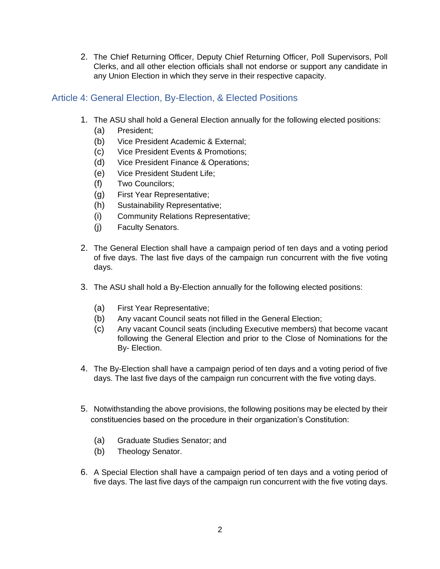2. The Chief Returning Officer, Deputy Chief Returning Officer, Poll Supervisors, Poll Clerks, and all other election officials shall not endorse or support any candidate in any Union Election in which they serve in their respective capacity.

# Article 4: General Election, By-Election, & Elected Positions

- 1. The ASU shall hold a General Election annually for the following elected positions:
	- (a) President;
	- (b) Vice President Academic & External;
	- (c) Vice President Events & Promotions;
	- (d) Vice President Finance & Operations;
	- (e) Vice President Student Life;
	- (f) Two Councilors;
	- (g) First Year Representative;
	- (h) Sustainability Representative;
	- (i) Community Relations Representative;
	- (j) Faculty Senators.
- 2. The General Election shall have a campaign period of ten days and a voting period of five days. The last five days of the campaign run concurrent with the five voting days.
- 3. The ASU shall hold a By-Election annually for the following elected positions:
	- (a) First Year Representative;
	- (b) Any vacant Council seats not filled in the General Election;
	- (c) Any vacant Council seats (including Executive members) that become vacant following the General Election and prior to the Close of Nominations for the By- Election.
- 4. The By-Election shall have a campaign period of ten days and a voting period of five days. The last five days of the campaign run concurrent with the five voting days.
- 5. Notwithstanding the above provisions, the following positions may be elected by their constituencies based on the procedure in their organization's Constitution:
	- (a) Graduate Studies Senator; and
	- (b) Theology Senator.
- 6. A Special Election shall have a campaign period of ten days and a voting period of five days. The last five days of the campaign run concurrent with the five voting days.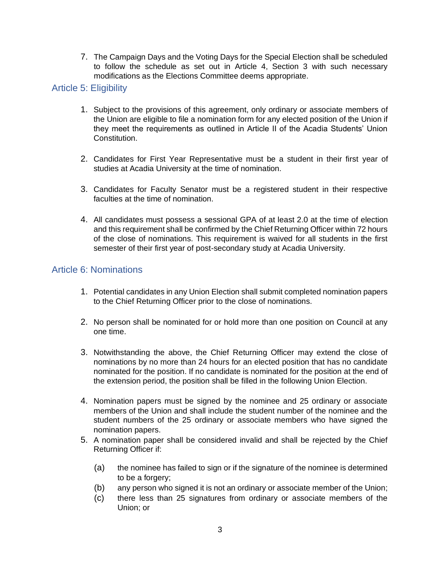7. The Campaign Days and the Voting Days for the Special Election shall be scheduled to follow the schedule as set out in Article 4, Section 3 with such necessary modifications as the Elections Committee deems appropriate.

#### Article 5: Eligibility

- 1. Subject to the provisions of this agreement, only ordinary or associate members of the Union are eligible to file a nomination form for any elected position of the Union if they meet the requirements as outlined in Article II of the Acadia Students' Union Constitution.
- 2. Candidates for First Year Representative must be a student in their first year of studies at Acadia University at the time of nomination.
- 3. Candidates for Faculty Senator must be a registered student in their respective faculties at the time of nomination.
- 4. All candidates must possess a sessional GPA of at least 2.0 at the time of election and this requirement shall be confirmed by the Chief Returning Officer within 72 hours of the close of nominations. This requirement is waived for all students in the first semester of their first year of post-secondary study at Acadia University.

## Article 6: Nominations

- 1. Potential candidates in any Union Election shall submit completed nomination papers to the Chief Returning Officer prior to the close of nominations.
- 2. No person shall be nominated for or hold more than one position on Council at any one time.
- 3. Notwithstanding the above, the Chief Returning Officer may extend the close of nominations by no more than 24 hours for an elected position that has no candidate nominated for the position. If no candidate is nominated for the position at the end of the extension period, the position shall be filled in the following Union Election.
- 4. Nomination papers must be signed by the nominee and 25 ordinary or associate members of the Union and shall include the student number of the nominee and the student numbers of the 25 ordinary or associate members who have signed the nomination papers.
- 5. A nomination paper shall be considered invalid and shall be rejected by the Chief Returning Officer if:
	- (a) the nominee has failed to sign or if the signature of the nominee is determined to be a forgery;
	- (b) any person who signed it is not an ordinary or associate member of the Union;
	- (c) there less than 25 signatures from ordinary or associate members of the Union; or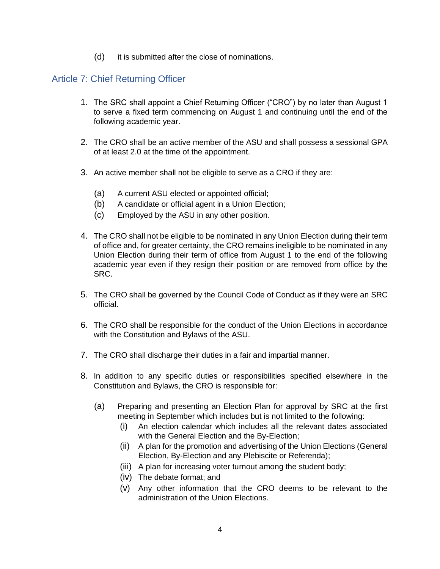(d) it is submitted after the close of nominations.

## Article 7: Chief Returning Officer

- 1. The SRC shall appoint a Chief Returning Officer ("CRO") by no later than August 1 to serve a fixed term commencing on August 1 and continuing until the end of the following academic year.
- 2. The CRO shall be an active member of the ASU and shall possess a sessional GPA of at least 2.0 at the time of the appointment.
- 3. An active member shall not be eligible to serve as a CRO if they are:
	- (a) A current ASU elected or appointed official;
	- (b) A candidate or official agent in a Union Election;
	- (c) Employed by the ASU in any other position.
- 4. The CRO shall not be eligible to be nominated in any Union Election during their term of office and, for greater certainty, the CRO remains ineligible to be nominated in any Union Election during their term of office from August 1 to the end of the following academic year even if they resign their position or are removed from office by the SRC.
- 5. The CRO shall be governed by the Council Code of Conduct as if they were an SRC official.
- 6. The CRO shall be responsible for the conduct of the Union Elections in accordance with the Constitution and Bylaws of the ASU.
- 7. The CRO shall discharge their duties in a fair and impartial manner.
- 8. In addition to any specific duties or responsibilities specified elsewhere in the Constitution and Bylaws, the CRO is responsible for:
	- (a) Preparing and presenting an Election Plan for approval by SRC at the first meeting in September which includes but is not limited to the following:
		- (i) An election calendar which includes all the relevant dates associated with the General Election and the By-Election;
		- (ii) A plan for the promotion and advertising of the Union Elections (General Election, By-Election and any Plebiscite or Referenda);
		- (iii) A plan for increasing voter turnout among the student body;
		- (iv) The debate format; and
		- (v) Any other information that the CRO deems to be relevant to the administration of the Union Elections.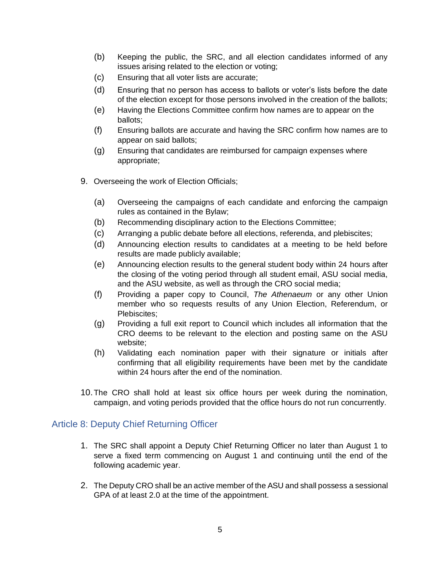- (b) Keeping the public, the SRC, and all election candidates informed of any issues arising related to the election or voting;
- (c) Ensuring that all voter lists are accurate;
- (d) Ensuring that no person has access to ballots or voter's lists before the date of the election except for those persons involved in the creation of the ballots;
- (e) Having the Elections Committee confirm how names are to appear on the ballots;
- (f) Ensuring ballots are accurate and having the SRC confirm how names are to appear on said ballots;
- (g) Ensuring that candidates are reimbursed for campaign expenses where appropriate;
- 9. Overseeing the work of Election Officials;
	- (a) Overseeing the campaigns of each candidate and enforcing the campaign rules as contained in the Bylaw;
	- (b) Recommending disciplinary action to the Elections Committee;
	- (c) Arranging a public debate before all elections, referenda, and plebiscites;
	- (d) Announcing election results to candidates at a meeting to be held before results are made publicly available;
	- (e) Announcing election results to the general student body within 24 hours after the closing of the voting period through all student email, ASU social media, and the ASU website, as well as through the CRO social media;
	- (f) Providing a paper copy to Council, *The Athenaeum* or any other Union member who so requests results of any Union Election, Referendum, or Plebiscites;
	- (g) Providing a full exit report to Council which includes all information that the CRO deems to be relevant to the election and posting same on the ASU website;
	- (h) Validating each nomination paper with their signature or initials after confirming that all eligibility requirements have been met by the candidate within 24 hours after the end of the nomination.
- 10.The CRO shall hold at least six office hours per week during the nomination, campaign, and voting periods provided that the office hours do not run concurrently.

## Article 8: Deputy Chief Returning Officer

- 1. The SRC shall appoint a Deputy Chief Returning Officer no later than August 1 to serve a fixed term commencing on August 1 and continuing until the end of the following academic year.
- 2. The Deputy CRO shall be an active member of the ASU and shall possess a sessional GPA of at least 2.0 at the time of the appointment.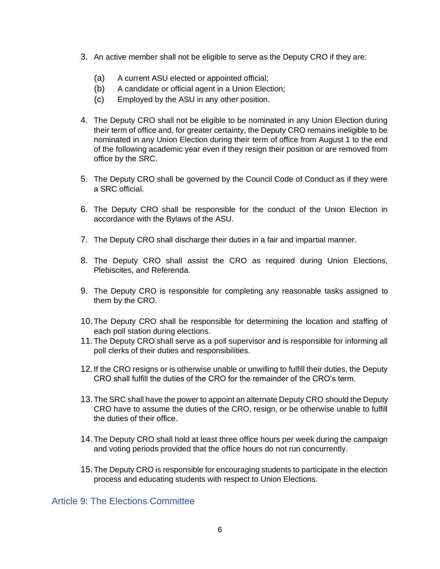- 3. An active member shall not be eligible to serve as the Deputy CRO if they are:
	- (a) A current ASU elected or appointed official;
	- (b) A candidate or official agent in a Union Election;
	- (c) Employed by the ASU in any other position.
- 4. The Deputy CRO shall not be eligible to be nominated in any Union Election during their term of office and, for greater certainty, the Deputy CRO remains ineligible to be nominated in any Union Election during their term of office from August 1 to the end of the following academic year even if they resign their position or are removed from office by the SRC.
- 5. The Deputy CRO shall be governed by the Council Code of Conduct as if they were a SRC official.
- 6. The Deputy CRO shall be responsible for the conduct of the Union Election in accordance with the Bylaws of the ASU.
- 7. The Deputy CRO shall discharge their duties in a fair and impartial manner.
- 8. The Deputy CRO shall assist the CRO as required during Union Elections, Plebiscites, and Referenda.
- 9. The Deputy CRO is responsible for completing any reasonable tasks assigned to them by the CRO.
- 10.The Deputy CRO shall be responsible for determining the location and staffing of each poll station during elections.
- 11.The Deputy CRO shall serve as a poll supervisor and is responsible for informing all poll clerks of their duties and responsibilities.
- 12.If the CRO resigns or is otherwise unable or unwilling to fulfill their duties, the Deputy CRO shall fulfill the duties of the CRO for the remainder of the CRO's term.
- 13.The SRC shall have the power to appoint an alternate Deputy CRO should the Deputy CRO have to assume the duties of the CRO, resign, or be otherwise unable to fulfill the duties of their office.
- 14.The Deputy CRO shall hold at least three office hours per week during the campaign and voting periods provided that the office hours do not run concurrently.
- 15.The Deputy CRO is responsible for encouraging students to participate in the election process and educating students with respect to Union Elections.

#### Article 9: The Elections Committee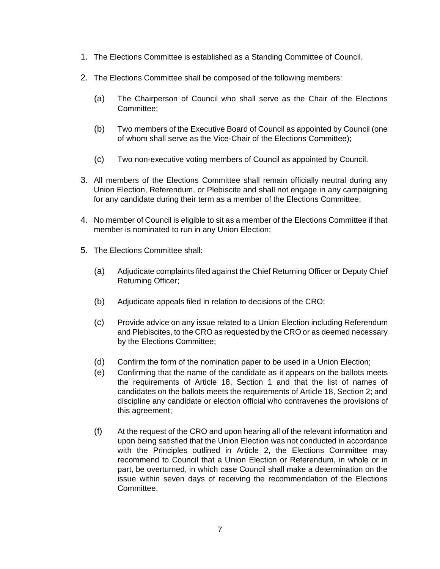- 1. The Elections Committee is established as a Standing Committee of Council.
- 2. The Elections Committee shall be composed of the following members:
	- (a) The Chairperson of Council who shall serve as the Chair of the Elections Committee;
	- (b) Two members of the Executive Board of Council as appointed by Council (one of whom shall serve as the Vice-Chair of the Elections Committee);
	- (c) Two non-executive voting members of Council as appointed by Council.
- 3. All members of the Elections Committee shall remain officially neutral during any Union Election, Referendum, or Plebiscite and shall not engage in any campaigning for any candidate during their term as a member of the Elections Committee;
- 4. No member of Council is eligible to sit as a member of the Elections Committee if that member is nominated to run in any Union Election;
- 5. The Elections Committee shall:
	- (a) Adjudicate complaints filed against the Chief Returning Officer or Deputy Chief Returning Officer;
	- (b) Adjudicate appeals filed in relation to decisions of the CRO;
	- (c) Provide advice on any issue related to a Union Election including Referendum and Plebiscites, to the CRO as requested by the CRO or as deemed necessary by the Elections Committee;
	- (d) Confirm the form of the nomination paper to be used in a Union Election;
	- (e) Confirming that the name of the candidate as it appears on the ballots meets the requirements of Article 18, Section 1 and that the list of names of candidates on the ballots meets the requirements of Article 18, Section 2; and discipline any candidate or election official who contravenes the provisions of this agreement;
	- (f) At the request of the CRO and upon hearing all of the relevant information and upon being satisfied that the Union Election was not conducted in accordance with the Principles outlined in Article 2, the Elections Committee may recommend to Council that a Union Election or Referendum, in whole or in part, be overturned, in which case Council shall make a determination on the issue within seven days of receiving the recommendation of the Elections Committee.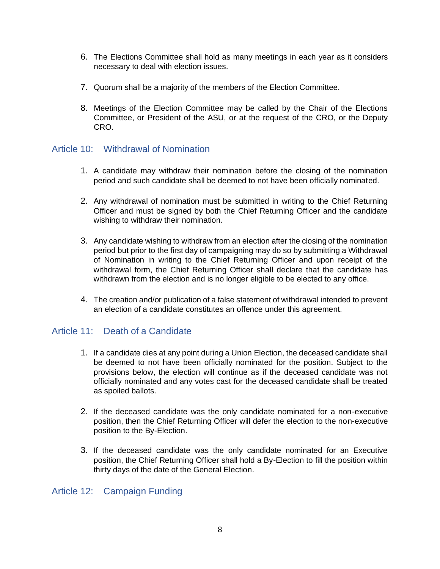- 6. The Elections Committee shall hold as many meetings in each year as it considers necessary to deal with election issues.
- 7. Quorum shall be a majority of the members of the Election Committee.
- 8. Meetings of the Election Committee may be called by the Chair of the Elections Committee, or President of the ASU, or at the request of the CRO, or the Deputy CRO.

## Article 10: Withdrawal of Nomination

- 1. A candidate may withdraw their nomination before the closing of the nomination period and such candidate shall be deemed to not have been officially nominated.
- 2. Any withdrawal of nomination must be submitted in writing to the Chief Returning Officer and must be signed by both the Chief Returning Officer and the candidate wishing to withdraw their nomination.
- 3. Any candidate wishing to withdraw from an election after the closing of the nomination period but prior to the first day of campaigning may do so by submitting a Withdrawal of Nomination in writing to the Chief Returning Officer and upon receipt of the withdrawal form, the Chief Returning Officer shall declare that the candidate has withdrawn from the election and is no longer eligible to be elected to any office.
- 4. The creation and/or publication of a false statement of withdrawal intended to prevent an election of a candidate constitutes an offence under this agreement.

## Article 11: Death of a Candidate

- 1. If a candidate dies at any point during a Union Election, the deceased candidate shall be deemed to not have been officially nominated for the position. Subject to the provisions below, the election will continue as if the deceased candidate was not officially nominated and any votes cast for the deceased candidate shall be treated as spoiled ballots.
- 2. If the deceased candidate was the only candidate nominated for a non-executive position, then the Chief Returning Officer will defer the election to the non-executive position to the By-Election.
- 3. If the deceased candidate was the only candidate nominated for an Executive position, the Chief Returning Officer shall hold a By-Election to fill the position within thirty days of the date of the General Election.

# Article 12: Campaign Funding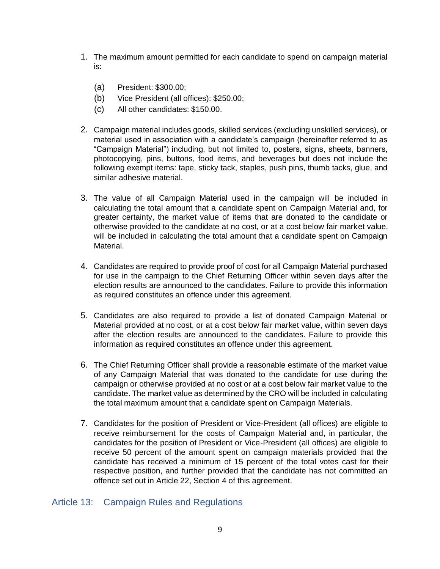- 1. The maximum amount permitted for each candidate to spend on campaign material is:
	- (a) President: \$300.00;
	- (b) Vice President (all offices): \$250.00;
	- (c) All other candidates: \$150.00.
- 2. Campaign material includes goods, skilled services (excluding unskilled services), or material used in association with a candidate's campaign (hereinafter referred to as "Campaign Material") including, but not limited to, posters, signs, sheets, banners, photocopying, pins, buttons, food items, and beverages but does not include the following exempt items: tape, sticky tack, staples, push pins, thumb tacks, glue, and similar adhesive material.
- 3. The value of all Campaign Material used in the campaign will be included in calculating the total amount that a candidate spent on Campaign Material and, for greater certainty, the market value of items that are donated to the candidate or otherwise provided to the candidate at no cost, or at a cost below fair market value, will be included in calculating the total amount that a candidate spent on Campaign Material.
- 4. Candidates are required to provide proof of cost for all Campaign Material purchased for use in the campaign to the Chief Returning Officer within seven days after the election results are announced to the candidates. Failure to provide this information as required constitutes an offence under this agreement.
- 5. Candidates are also required to provide a list of donated Campaign Material or Material provided at no cost, or at a cost below fair market value, within seven days after the election results are announced to the candidates. Failure to provide this information as required constitutes an offence under this agreement.
- 6. The Chief Returning Officer shall provide a reasonable estimate of the market value of any Campaign Material that was donated to the candidate for use during the campaign or otherwise provided at no cost or at a cost below fair market value to the candidate. The market value as determined by the CRO will be included in calculating the total maximum amount that a candidate spent on Campaign Materials.
- 7. Candidates for the position of President or Vice-President (all offices) are eligible to receive reimbursement for the costs of Campaign Material and, in particular, the candidates for the position of President or Vice-President (all offices) are eligible to receive 50 percent of the amount spent on campaign materials provided that the candidate has received a minimum of 15 percent of the total votes cast for their respective position, and further provided that the candidate has not committed an offence set out in Article 22, Section 4 of this agreement.

## Article 13: Campaign Rules and Regulations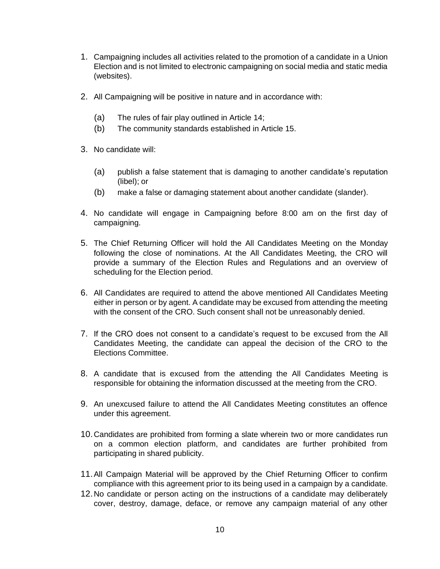- 1. Campaigning includes all activities related to the promotion of a candidate in a Union Election and is not limited to electronic campaigning on social media and static media (websites).
- 2. All Campaigning will be positive in nature and in accordance with:
	- (a) The rules of fair play outlined in Article 14;
	- (b) The community standards established in Article 15.
- 3. No candidate will:
	- (a) publish a false statement that is damaging to another candidate's reputation (libel); or
	- (b) make a false or damaging statement about another candidate (slander).
- 4. No candidate will engage in Campaigning before 8:00 am on the first day of campaigning.
- 5. The Chief Returning Officer will hold the All Candidates Meeting on the Monday following the close of nominations. At the All Candidates Meeting, the CRO will provide a summary of the Election Rules and Regulations and an overview of scheduling for the Election period.
- 6. All Candidates are required to attend the above mentioned All Candidates Meeting either in person or by agent. A candidate may be excused from attending the meeting with the consent of the CRO. Such consent shall not be unreasonably denied.
- 7. If the CRO does not consent to a candidate's request to be excused from the All Candidates Meeting, the candidate can appeal the decision of the CRO to the Elections Committee.
- 8. A candidate that is excused from the attending the All Candidates Meeting is responsible for obtaining the information discussed at the meeting from the CRO.
- 9. An unexcused failure to attend the All Candidates Meeting constitutes an offence under this agreement.
- 10.Candidates are prohibited from forming a slate wherein two or more candidates run on a common election platform, and candidates are further prohibited from participating in shared publicity.
- 11.All Campaign Material will be approved by the Chief Returning Officer to confirm compliance with this agreement prior to its being used in a campaign by a candidate.
- 12.No candidate or person acting on the instructions of a candidate may deliberately cover, destroy, damage, deface, or remove any campaign material of any other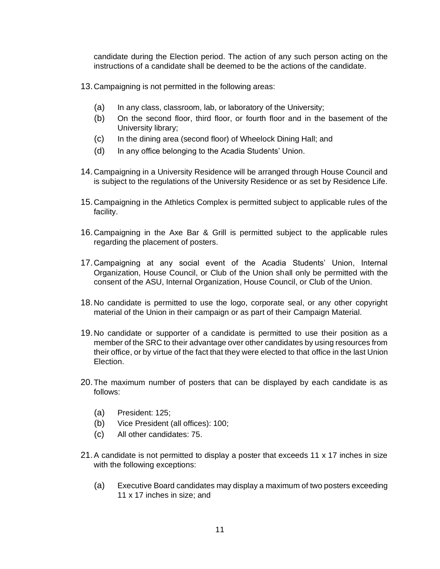candidate during the Election period. The action of any such person acting on the instructions of a candidate shall be deemed to be the actions of the candidate.

- 13.Campaigning is not permitted in the following areas:
	- (a) In any class, classroom, lab, or laboratory of the University;
	- (b) On the second floor, third floor, or fourth floor and in the basement of the University library;
	- (c) In the dining area (second floor) of Wheelock Dining Hall; and
	- (d) In any office belonging to the Acadia Students' Union.
- 14.Campaigning in a University Residence will be arranged through House Council and is subject to the regulations of the University Residence or as set by Residence Life.
- 15.Campaigning in the Athletics Complex is permitted subject to applicable rules of the facility.
- 16.Campaigning in the Axe Bar & Grill is permitted subject to the applicable rules regarding the placement of posters.
- 17.Campaigning at any social event of the Acadia Students' Union, Internal Organization, House Council, or Club of the Union shall only be permitted with the consent of the ASU, Internal Organization, House Council, or Club of the Union.
- 18.No candidate is permitted to use the logo, corporate seal, or any other copyright material of the Union in their campaign or as part of their Campaign Material.
- 19.No candidate or supporter of a candidate is permitted to use their position as a member of the SRC to their advantage over other candidates by using resources from their office, or by virtue of the fact that they were elected to that office in the last Union Election.
- 20.The maximum number of posters that can be displayed by each candidate is as follows:
	- (a) President: 125;
	- (b) Vice President (all offices): 100;
	- (c) All other candidates: 75.
- 21.A candidate is not permitted to display a poster that exceeds 11 x 17 inches in size with the following exceptions:
	- (a) Executive Board candidates may display a maximum of two posters exceeding 11 x 17 inches in size; and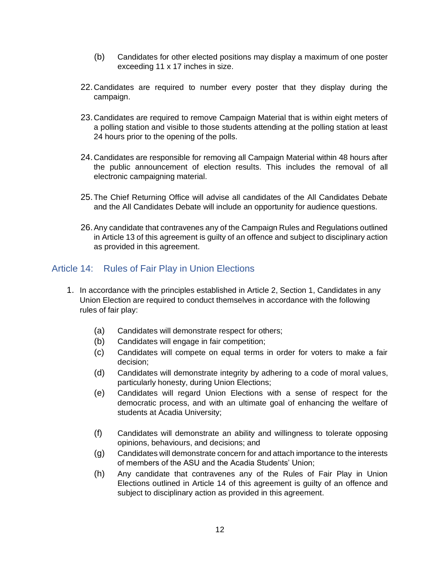- (b) Candidates for other elected positions may display a maximum of one poster exceeding 11 x 17 inches in size.
- 22.Candidates are required to number every poster that they display during the campaign.
- 23.Candidates are required to remove Campaign Material that is within eight meters of a polling station and visible to those students attending at the polling station at least 24 hours prior to the opening of the polls.
- 24.Candidates are responsible for removing all Campaign Material within 48 hours after the public announcement of election results. This includes the removal of all electronic campaigning material.
- 25.The Chief Returning Office will advise all candidates of the All Candidates Debate and the All Candidates Debate will include an opportunity for audience questions.
- 26.Any candidate that contravenes any of the Campaign Rules and Regulations outlined in Article 13 of this agreement is guilty of an offence and subject to disciplinary action as provided in this agreement.

## Article 14: Rules of Fair Play in Union Elections

- 1. In accordance with the principles established in Article 2, Section 1, Candidates in any Union Election are required to conduct themselves in accordance with the following rules of fair play:
	- (a) Candidates will demonstrate respect for others;
	- (b) Candidates will engage in fair competition;
	- (c) Candidates will compete on equal terms in order for voters to make a fair decision;
	- (d) Candidates will demonstrate integrity by adhering to a code of moral values, particularly honesty, during Union Elections;
	- (e) Candidates will regard Union Elections with a sense of respect for the democratic process, and with an ultimate goal of enhancing the welfare of students at Acadia University;
	- (f) Candidates will demonstrate an ability and willingness to tolerate opposing opinions, behaviours, and decisions; and
	- (g) Candidates will demonstrate concern for and attach importance to the interests of members of the ASU and the Acadia Students' Union;
	- (h) Any candidate that contravenes any of the Rules of Fair Play in Union Elections outlined in Article 14 of this agreement is guilty of an offence and subject to disciplinary action as provided in this agreement.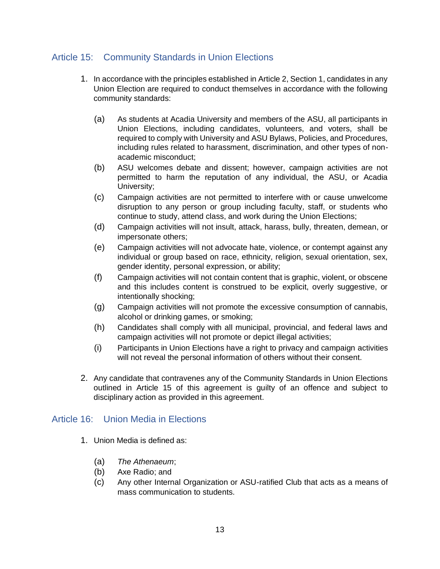## Article 15: Community Standards in Union Elections

- 1. In accordance with the principles established in Article 2, Section 1, candidates in any Union Election are required to conduct themselves in accordance with the following community standards:
	- (a) As students at Acadia University and members of the ASU, all participants in Union Elections, including candidates, volunteers, and voters, shall be required to comply with University and ASU Bylaws, Policies, and Procedures, including rules related to harassment, discrimination, and other types of nonacademic misconduct;
	- (b) ASU welcomes debate and dissent; however, campaign activities are not permitted to harm the reputation of any individual, the ASU, or Acadia University;
	- (c) Campaign activities are not permitted to interfere with or cause unwelcome disruption to any person or group including faculty, staff, or students who continue to study, attend class, and work during the Union Elections;
	- (d) Campaign activities will not insult, attack, harass, bully, threaten, demean, or impersonate others;
	- (e) Campaign activities will not advocate hate, violence, or contempt against any individual or group based on race, ethnicity, religion, sexual orientation, sex, gender identity, personal expression, or ability;
	- (f) Campaign activities will not contain content that is graphic, violent, or obscene and this includes content is construed to be explicit, overly suggestive, or intentionally shocking;
	- (g) Campaign activities will not promote the excessive consumption of cannabis, alcohol or drinking games, or smoking;
	- (h) Candidates shall comply with all municipal, provincial, and federal laws and campaign activities will not promote or depict illegal activities;
	- (i) Participants in Union Elections have a right to privacy and campaign activities will not reveal the personal information of others without their consent.
- 2. Any candidate that contravenes any of the Community Standards in Union Elections outlined in Article 15 of this agreement is guilty of an offence and subject to disciplinary action as provided in this agreement.

## Article 16: Union Media in Elections

- 1. Union Media is defined as:
	- (a) *The Athenaeum*;
	- (b) Axe Radio; and
	- (c) Any other Internal Organization or ASU-ratified Club that acts as a means of mass communication to students.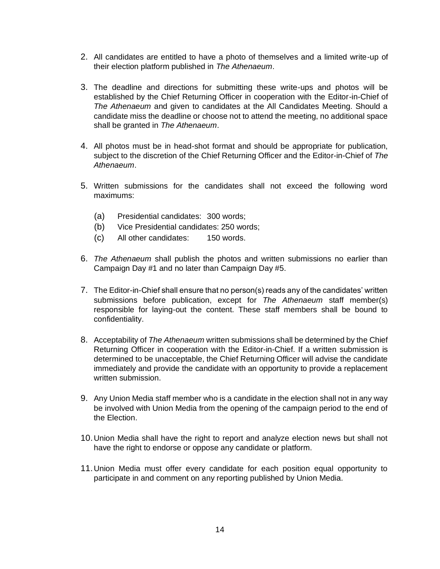- 2. All candidates are entitled to have a photo of themselves and a limited write-up of their election platform published in *The Athenaeum*.
- 3. The deadline and directions for submitting these write-ups and photos will be established by the Chief Returning Officer in cooperation with the Editor-in-Chief of *The Athenaeum* and given to candidates at the All Candidates Meeting. Should a candidate miss the deadline or choose not to attend the meeting, no additional space shall be granted in *The Athenaeum*.
- 4. All photos must be in head-shot format and should be appropriate for publication, subject to the discretion of the Chief Returning Officer and the Editor-in-Chief of *The Athenaeum*.
- 5. Written submissions for the candidates shall not exceed the following word maximums:
	- (a) Presidential candidates: 300 words;
	- (b) Vice Presidential candidates: 250 words;
	- (c) All other candidates: 150 words.
- 6. *The Athenaeum* shall publish the photos and written submissions no earlier than Campaign Day #1 and no later than Campaign Day #5.
- 7. The Editor-in-Chief shall ensure that no person(s) reads any of the candidates' written submissions before publication, except for *The Athenaeum* staff member(s) responsible for laying-out the content. These staff members shall be bound to confidentiality.
- 8. Acceptability of *The Athenaeum* written submissions shall be determined by the Chief Returning Officer in cooperation with the Editor-in-Chief. If a written submission is determined to be unacceptable, the Chief Returning Officer will advise the candidate immediately and provide the candidate with an opportunity to provide a replacement written submission.
- 9. Any Union Media staff member who is a candidate in the election shall not in any way be involved with Union Media from the opening of the campaign period to the end of the Election.
- 10.Union Media shall have the right to report and analyze election news but shall not have the right to endorse or oppose any candidate or platform.
- 11.Union Media must offer every candidate for each position equal opportunity to participate in and comment on any reporting published by Union Media.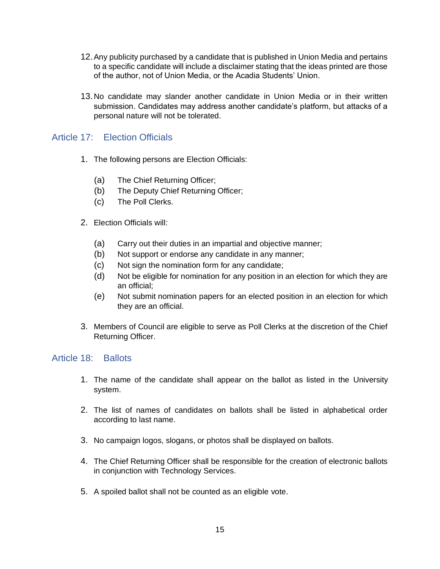- 12.Any publicity purchased by a candidate that is published in Union Media and pertains to a specific candidate will include a disclaimer stating that the ideas printed are those of the author, not of Union Media, or the Acadia Students' Union.
- 13.No candidate may slander another candidate in Union Media or in their written submission. Candidates may address another candidate's platform, but attacks of a personal nature will not be tolerated.

## Article 17: Election Officials

- 1. The following persons are Election Officials:
	- (a) The Chief Returning Officer;
	- (b) The Deputy Chief Returning Officer;
	- (c) The Poll Clerks.
- 2. Election Officials will:
	- (a) Carry out their duties in an impartial and objective manner;
	- (b) Not support or endorse any candidate in any manner;
	- (c) Not sign the nomination form for any candidate;
	- (d) Not be eligible for nomination for any position in an election for which they are an official;
	- (e) Not submit nomination papers for an elected position in an election for which they are an official.
- 3. Members of Council are eligible to serve as Poll Clerks at the discretion of the Chief Returning Officer.

#### Article 18: Ballots

- 1. The name of the candidate shall appear on the ballot as listed in the University system.
- 2. The list of names of candidates on ballots shall be listed in alphabetical order according to last name.
- 3. No campaign logos, slogans, or photos shall be displayed on ballots.
- 4. The Chief Returning Officer shall be responsible for the creation of electronic ballots in conjunction with Technology Services.
- 5. A spoiled ballot shall not be counted as an eligible vote.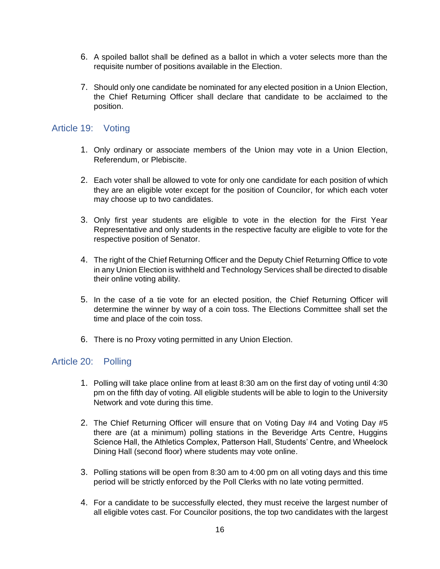- 6. A spoiled ballot shall be defined as a ballot in which a voter selects more than the requisite number of positions available in the Election.
- 7. Should only one candidate be nominated for any elected position in a Union Election, the Chief Returning Officer shall declare that candidate to be acclaimed to the position.

#### Article 19: Voting

- 1. Only ordinary or associate members of the Union may vote in a Union Election, Referendum, or Plebiscite.
- 2. Each voter shall be allowed to vote for only one candidate for each position of which they are an eligible voter except for the position of Councilor, for which each voter may choose up to two candidates.
- 3. Only first year students are eligible to vote in the election for the First Year Representative and only students in the respective faculty are eligible to vote for the respective position of Senator.
- 4. The right of the Chief Returning Officer and the Deputy Chief Returning Office to vote in any Union Election is withheld and Technology Services shall be directed to disable their online voting ability.
- 5. In the case of a tie vote for an elected position, the Chief Returning Officer will determine the winner by way of a coin toss. The Elections Committee shall set the time and place of the coin toss.
- 6. There is no Proxy voting permitted in any Union Election.

## Article 20: Polling

- 1. Polling will take place online from at least 8:30 am on the first day of voting until 4:30 pm on the fifth day of voting. All eligible students will be able to login to the University Network and vote during this time.
- 2. The Chief Returning Officer will ensure that on Voting Day #4 and Voting Day #5 there are (at a minimum) polling stations in the Beveridge Arts Centre, Huggins Science Hall, the Athletics Complex, Patterson Hall, Students' Centre, and Wheelock Dining Hall (second floor) where students may vote online.
- 3. Polling stations will be open from 8:30 am to 4:00 pm on all voting days and this time period will be strictly enforced by the Poll Clerks with no late voting permitted.
- 4. For a candidate to be successfully elected, they must receive the largest number of all eligible votes cast. For Councilor positions, the top two candidates with the largest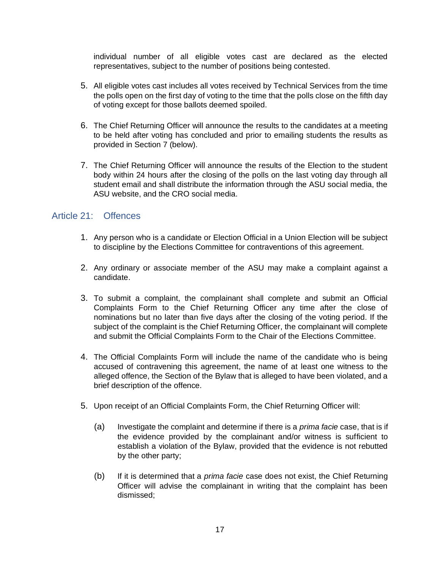individual number of all eligible votes cast are declared as the elected representatives, subject to the number of positions being contested.

- 5. All eligible votes cast includes all votes received by Technical Services from the time the polls open on the first day of voting to the time that the polls close on the fifth day of voting except for those ballots deemed spoiled.
- 6. The Chief Returning Officer will announce the results to the candidates at a meeting to be held after voting has concluded and prior to emailing students the results as provided in Section 7 (below).
- 7. The Chief Returning Officer will announce the results of the Election to the student body within 24 hours after the closing of the polls on the last voting day through all student email and shall distribute the information through the ASU social media, the ASU website, and the CRO social media.

#### Article 21: Offences

- 1. Any person who is a candidate or Election Official in a Union Election will be subject to discipline by the Elections Committee for contraventions of this agreement.
- 2. Any ordinary or associate member of the ASU may make a complaint against a candidate.
- 3. To submit a complaint, the complainant shall complete and submit an Official Complaints Form to the Chief Returning Officer any time after the close of nominations but no later than five days after the closing of the voting period. If the subject of the complaint is the Chief Returning Officer, the complainant will complete and submit the Official Complaints Form to the Chair of the Elections Committee.
- 4. The Official Complaints Form will include the name of the candidate who is being accused of contravening this agreement, the name of at least one witness to the alleged offence, the Section of the Bylaw that is alleged to have been violated, and a brief description of the offence.
- 5. Upon receipt of an Official Complaints Form, the Chief Returning Officer will:
	- (a) Investigate the complaint and determine if there is a *prima facie* case, that is if the evidence provided by the complainant and/or witness is sufficient to establish a violation of the Bylaw, provided that the evidence is not rebutted by the other party;
	- (b) If it is determined that a *prima facie* case does not exist, the Chief Returning Officer will advise the complainant in writing that the complaint has been dismissed;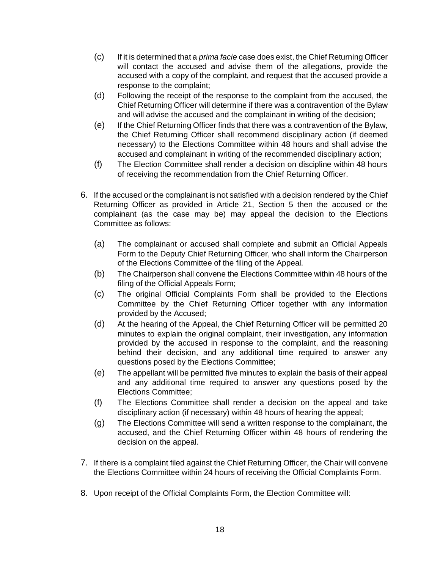- (c) If it is determined that a *prima facie* case does exist, the Chief Returning Officer will contact the accused and advise them of the allegations, provide the accused with a copy of the complaint, and request that the accused provide a response to the complaint;
- (d) Following the receipt of the response to the complaint from the accused, the Chief Returning Officer will determine if there was a contravention of the Bylaw and will advise the accused and the complainant in writing of the decision;
- (e) If the Chief Returning Officer finds that there was a contravention of the Bylaw, the Chief Returning Officer shall recommend disciplinary action (if deemed necessary) to the Elections Committee within 48 hours and shall advise the accused and complainant in writing of the recommended disciplinary action;
- (f) The Election Committee shall render a decision on discipline within 48 hours of receiving the recommendation from the Chief Returning Officer.
- 6. If the accused or the complainant is not satisfied with a decision rendered by the Chief Returning Officer as provided in Article 21, Section 5 then the accused or the complainant (as the case may be) may appeal the decision to the Elections Committee as follows:
	- (a) The complainant or accused shall complete and submit an Official Appeals Form to the Deputy Chief Returning Officer, who shall inform the Chairperson of the Elections Committee of the filing of the Appeal.
	- (b) The Chairperson shall convene the Elections Committee within 48 hours of the filing of the Official Appeals Form;
	- (c) The original Official Complaints Form shall be provided to the Elections Committee by the Chief Returning Officer together with any information provided by the Accused;
	- (d) At the hearing of the Appeal, the Chief Returning Officer will be permitted 20 minutes to explain the original complaint, their investigation, any information provided by the accused in response to the complaint, and the reasoning behind their decision, and any additional time required to answer any questions posed by the Elections Committee;
	- (e) The appellant will be permitted five minutes to explain the basis of their appeal and any additional time required to answer any questions posed by the Elections Committee;
	- (f) The Elections Committee shall render a decision on the appeal and take disciplinary action (if necessary) within 48 hours of hearing the appeal;
	- (g) The Elections Committee will send a written response to the complainant, the accused, and the Chief Returning Officer within 48 hours of rendering the decision on the appeal.
- 7. If there is a complaint filed against the Chief Returning Officer, the Chair will convene the Elections Committee within 24 hours of receiving the Official Complaints Form.
- 8. Upon receipt of the Official Complaints Form, the Election Committee will: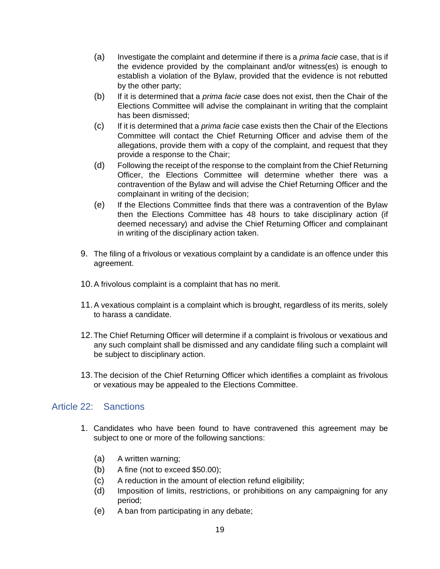- (a) Investigate the complaint and determine if there is a *prima facie* case, that is if the evidence provided by the complainant and/or witness(es) is enough to establish a violation of the Bylaw, provided that the evidence is not rebutted by the other party;
- (b) If it is determined that a *prima facie* case does not exist, then the Chair of the Elections Committee will advise the complainant in writing that the complaint has been dismissed;
- (c) If it is determined that a *prima facie* case exists then the Chair of the Elections Committee will contact the Chief Returning Officer and advise them of the allegations, provide them with a copy of the complaint, and request that they provide a response to the Chair;
- (d) Following the receipt of the response to the complaint from the Chief Returning Officer, the Elections Committee will determine whether there was a contravention of the Bylaw and will advise the Chief Returning Officer and the complainant in writing of the decision;
- (e) If the Elections Committee finds that there was a contravention of the Bylaw then the Elections Committee has 48 hours to take disciplinary action (if deemed necessary) and advise the Chief Returning Officer and complainant in writing of the disciplinary action taken.
- 9. The filing of a frivolous or vexatious complaint by a candidate is an offence under this agreement.
- 10.A frivolous complaint is a complaint that has no merit.
- 11.A vexatious complaint is a complaint which is brought, regardless of its merits, solely to harass a candidate.
- 12.The Chief Returning Officer will determine if a complaint is frivolous or vexatious and any such complaint shall be dismissed and any candidate filing such a complaint will be subject to disciplinary action.
- 13.The decision of the Chief Returning Officer which identifies a complaint as frivolous or vexatious may be appealed to the Elections Committee.

#### Article 22: Sanctions

- 1. Candidates who have been found to have contravened this agreement may be subject to one or more of the following sanctions:
	- (a) A written warning;
	- (b) A fine (not to exceed \$50.00);
	- (c) A reduction in the amount of election refund eligibility;
	- (d) Imposition of limits, restrictions, or prohibitions on any campaigning for any period;
	- (e) A ban from participating in any debate;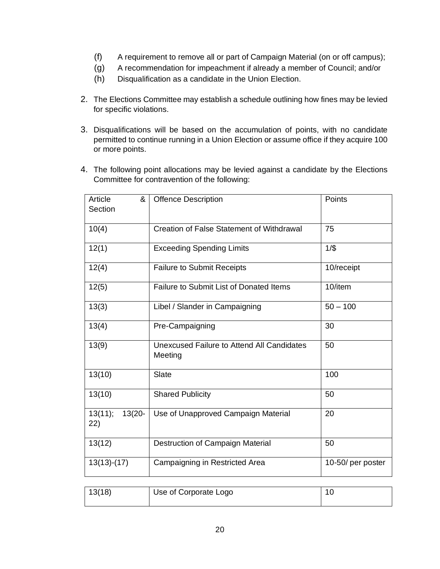- (f) A requirement to remove all or part of Campaign Material (on or off campus);
- (g) A recommendation for impeachment if already a member of Council; and/or
- (h) Disqualification as a candidate in the Union Election.
- 2. The Elections Committee may establish a schedule outlining how fines may be levied for specific violations.
- 3. Disqualifications will be based on the accumulation of points, with no candidate permitted to continue running in a Union Election or assume office if they acquire 100 or more points.
- 4. The following point allocations may be levied against a candidate by the Elections Committee for contravention of the following:

| Article<br>&<br>Section     | <b>Offence Description</b>                                   | Points            |
|-----------------------------|--------------------------------------------------------------|-------------------|
| 10(4)                       | <b>Creation of False Statement of Withdrawal</b>             | 75                |
| 12(1)                       | <b>Exceeding Spending Limits</b>                             | $1/$ \$           |
| 12(4)                       | <b>Failure to Submit Receipts</b>                            | 10/receipt        |
| 12(5)                       | Failure to Submit List of Donated Items                      | 10/item           |
| 13(3)                       | Libel / Slander in Campaigning                               | $50 - 100$        |
| 13(4)                       | Pre-Campaigning                                              | 30                |
| 13(9)                       | <b>Unexcused Failure to Attend All Candidates</b><br>Meeting | 50                |
| 13(10)                      | Slate                                                        | 100               |
| 13(10)                      | <b>Shared Publicity</b>                                      | 50                |
| 13(11);<br>$13(20 -$<br>22) | Use of Unapproved Campaign Material                          | 20                |
| 13(12)                      | Destruction of Campaign Material                             | 50                |
| $13(13)-(17)$               | Campaigning in Restricted Area                               | 10-50/ per poster |

| 13(18) | Use of Corporate Logo |  |
|--------|-----------------------|--|
|        |                       |  |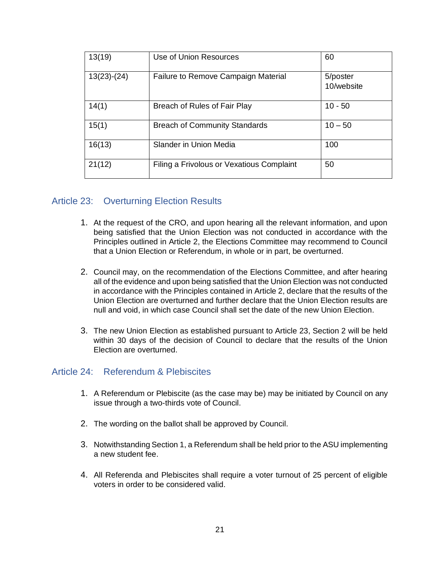| 13(19)        | Use of Union Resources                    | 60                     |
|---------------|-------------------------------------------|------------------------|
| $13(23)-(24)$ | Failure to Remove Campaign Material       | 5/poster<br>10/website |
| 14(1)         | Breach of Rules of Fair Play              | $10 - 50$              |
| 15(1)         | <b>Breach of Community Standards</b>      | $10 - 50$              |
| 16(13)        | Slander in Union Media                    | 100                    |
| 21(12)        | Filing a Frivolous or Vexatious Complaint | 50                     |

#### Article 23: Overturning Election Results

- 1. At the request of the CRO, and upon hearing all the relevant information, and upon being satisfied that the Union Election was not conducted in accordance with the Principles outlined in Article 2, the Elections Committee may recommend to Council that a Union Election or Referendum, in whole or in part, be overturned.
- 2. Council may, on the recommendation of the Elections Committee, and after hearing all of the evidence and upon being satisfied that the Union Election was not conducted in accordance with the Principles contained in Article 2, declare that the results of the Union Election are overturned and further declare that the Union Election results are null and void, in which case Council shall set the date of the new Union Election.
- 3. The new Union Election as established pursuant to Article 23, Section 2 will be held within 30 days of the decision of Council to declare that the results of the Union Election are overturned.

#### Article 24: Referendum & Plebiscites

- 1. A Referendum or Plebiscite (as the case may be) may be initiated by Council on any issue through a two-thirds vote of Council.
- 2. The wording on the ballot shall be approved by Council.
- 3. Notwithstanding Section 1, a Referendum shall be held prior to the ASU implementing a new student fee.
- 4. All Referenda and Plebiscites shall require a voter turnout of 25 percent of eligible voters in order to be considered valid.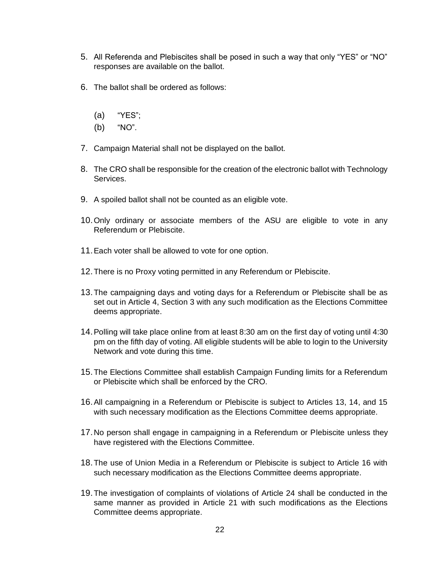- 5. All Referenda and Plebiscites shall be posed in such a way that only "YES" or "NO" responses are available on the ballot.
- 6. The ballot shall be ordered as follows:
	- (a) "YES";
	- (b) "NO".
- 7. Campaign Material shall not be displayed on the ballot.
- 8. The CRO shall be responsible for the creation of the electronic ballot with Technology Services.
- 9. A spoiled ballot shall not be counted as an eligible vote.
- 10.Only ordinary or associate members of the ASU are eligible to vote in any Referendum or Plebiscite.
- 11.Each voter shall be allowed to vote for one option.
- 12.There is no Proxy voting permitted in any Referendum or Plebiscite.
- 13.The campaigning days and voting days for a Referendum or Plebiscite shall be as set out in Article 4, Section 3 with any such modification as the Elections Committee deems appropriate.
- 14.Polling will take place online from at least 8:30 am on the first day of voting until 4:30 pm on the fifth day of voting. All eligible students will be able to login to the University Network and vote during this time.
- 15.The Elections Committee shall establish Campaign Funding limits for a Referendum or Plebiscite which shall be enforced by the CRO.
- 16.All campaigning in a Referendum or Plebiscite is subject to Articles 13, 14, and 15 with such necessary modification as the Elections Committee deems appropriate.
- 17.No person shall engage in campaigning in a Referendum or Plebiscite unless they have registered with the Elections Committee.
- 18.The use of Union Media in a Referendum or Plebiscite is subject to Article 16 with such necessary modification as the Elections Committee deems appropriate.
- 19.The investigation of complaints of violations of Article 24 shall be conducted in the same manner as provided in Article 21 with such modifications as the Elections Committee deems appropriate.